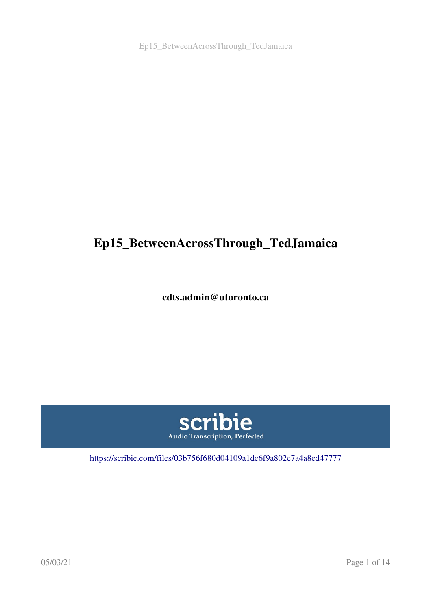# Ep15\_BetweenAcrossThrough\_TedJamaica

cdts.admin@utoronto.ca



<https://scribie.com/files/03b756f680d04109a1de6f9a802c7a4a8ed47777>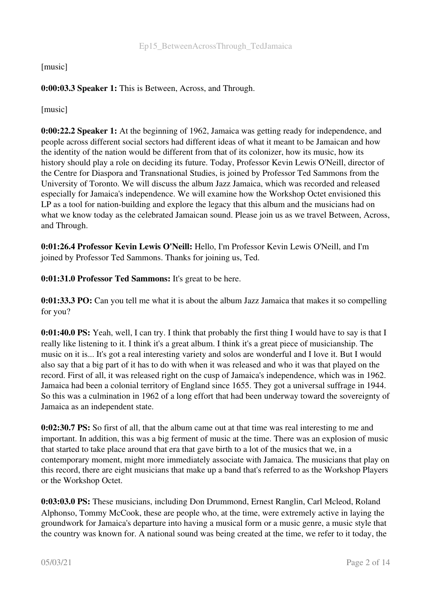#### [music]

## 0:00:03.3 Speaker 1: This is Between, Across, and Through.

[music]

0:00:22.2 Speaker 1: At the beginning of 1962, Jamaica was getting ready for independence, and people across different social sectors had different ideas of what it meant to be Jamaican and how the identity of the nation would be different from that of its colonizer, how its music, how its history should play a role on deciding its future. Today, Professor Kevin Lewis O'Neill, director of the Centre for Diaspora and Transnational Studies, is joined by Professor Ted Sammons from the University of Toronto. We will discuss the album Jazz Jamaica, which was recorded and released especially for Jamaica's independence. We will examine how the Workshop Octet envisioned this LP as a tool for nation-building and explore the legacy that this album and the musicians had on what we know today as the celebrated Jamaican sound. Please join us as we travel Between, Across, and Through.

0:01:26.4 Professor Kevin Lewis O'Neill: Hello, I'm Professor Kevin Lewis O'Neill, and I'm joined by Professor Ted Sammons. Thanks for joining us, Ted.

0:01:31.0 Professor Ted Sammons: It's great to be here.

0:01:33.3 PO: Can you tell me what it is about the album Jazz Jamaica that makes it so compelling for you?

0:01:40.0 PS: Yeah, well, I can try. I think that probably the first thing I would have to say is that I really like listening to it. I think it's a great album. I think it's a great piece of musicianship. The music on it is... It's got a real interesting variety and solos are wonderful and I love it. But I would also say that a big part of it has to do with when it was released and who it was that played on the record. First of all, it was released right on the cusp of Jamaica's independence, which was in 1962. Jamaica had been a colonial territory of England since 1655. They got a universal suffrage in 1944. So this was a culmination in 1962 of a long effort that had been underway toward the sovereignty of Jamaica as an independent state.

0:02:30.7 PS: So first of all, that the album came out at that time was real interesting to me and important. In addition, this was a big ferment of music at the time. There was an explosion of music that started to take place around that era that gave birth to a lot of the musics that we, in a contemporary moment, might more immediately associate with Jamaica. The musicians that play on this record, there are eight musicians that make up a band that's referred to as the Workshop Players or the Workshop Octet.

0:03:03.0 PS: These musicians, including Don Drummond, Ernest Ranglin, Carl Mcleod, Roland Alphonso, Tommy McCook, these are people who, at the time, were extremely active in laying the groundwork for Jamaica's departure into having a musical form or a music genre, a music style that the country was known for. A national sound was being created at the time, we refer to it today, the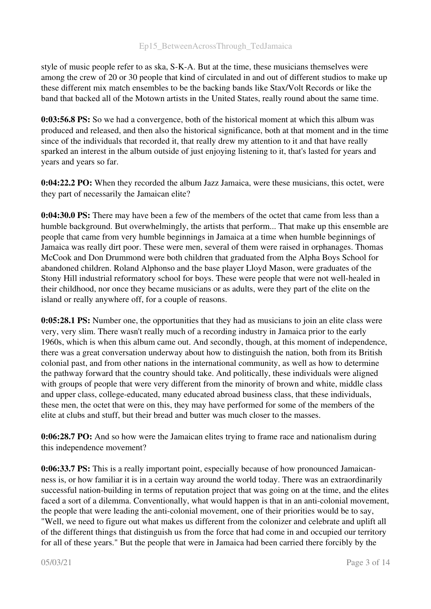style of music people refer to as ska, S-K-A. But at the time, these musicians themselves were among the crew of 20 or 30 people that kind of circulated in and out of different studios to make up these different mix match ensembles to be the backing bands like Stax/Volt Records or like the band that backed all of the Motown artists in the United States, really round about the same time.

0:03:56.8 PS: So we had a convergence, both of the historical moment at which this album was produced and released, and then also the historical significance, both at that moment and in the time since of the individuals that recorded it, that really drew my attention to it and that have really sparked an interest in the album outside of just enjoying listening to it, that's lasted for years and years and years so far.

0:04:22.2 PO: When they recorded the album Jazz Jamaica, were these musicians, this octet, were they part of necessarily the Jamaican elite?

0:04:30.0 PS: There may have been a few of the members of the octet that came from less than a humble background. But overwhelmingly, the artists that perform... That make up this ensemble are people that came from very humble beginnings in Jamaica at a time when humble beginnings of Jamaica was really dirt poor. These were men, several of them were raised in orphanages. Thomas McCook and Don Drummond were both children that graduated from the Alpha Boys School for abandoned children. Roland Alphonso and the base player Lloyd Mason, were graduates of the Stony Hill industrial reformatory school for boys. These were people that were not well-healed in their childhood, nor once they became musicians or as adults, were they part of the elite on the island or really anywhere off, for a couple of reasons.

0:05:28.1 PS: Number one, the opportunities that they had as musicians to join an elite class were very, very slim. There wasn't really much of a recording industry in Jamaica prior to the early 1960s, which is when this album came out. And secondly, though, at this moment of independence, there was a great conversation underway about how to distinguish the nation, both from its British colonial past, and from other nations in the international community, as well as how to determine the pathway forward that the country should take. And politically, these individuals were aligned with groups of people that were very different from the minority of brown and white, middle class and upper class, college-educated, many educated abroad business class, that these individuals, these men, the octet that were on this, they may have performed for some of the members of the elite at clubs and stuff, but their bread and butter was much closer to the masses.

0:06:28.7 PO: And so how were the Jamaican elites trying to frame race and nationalism during this independence movement?

0:06:33.7 PS: This is a really important point, especially because of how pronounced Jamaicanness is, or how familiar it is in a certain way around the world today. There was an extraordinarily successful nation-building in terms of reputation project that was going on at the time, and the elites faced a sort of a dilemma. Conventionally, what would happen is that in an anti-colonial movement, the people that were leading the anti-colonial movement, one of their priorities would be to say, "Well, we need to figure out what makes us different from the colonizer and celebrate and uplift all of the different things that distinguish us from the force that had come in and occupied our territory for all of these years." But the people that were in Jamaica had been carried there forcibly by the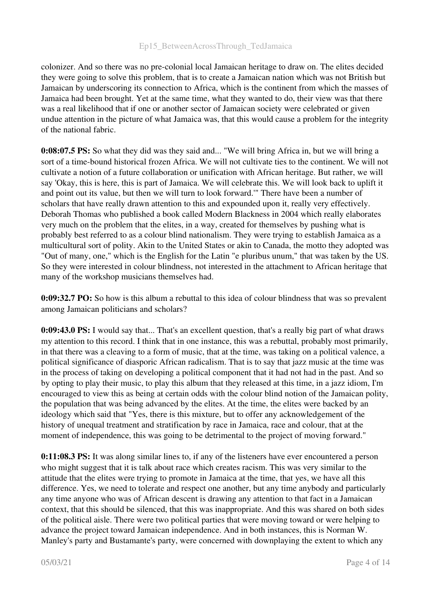colonizer. And so there was no pre-colonial local Jamaican heritage to draw on. The elites decided they were going to solve this problem, that is to create a Jamaican nation which was not British but Jamaican by underscoring its connection to Africa, which is the continent from which the masses of Jamaica had been brought. Yet at the same time, what they wanted to do, their view was that there was a real likelihood that if one or another sector of Jamaican society were celebrated or given undue attention in the picture of what Jamaica was, that this would cause a problem for the integrity of the national fabric.

0:08:07.5 PS: So what they did was they said and... "We will bring Africa in, but we will bring a sort of a time-bound historical frozen Africa. We will not cultivate ties to the continent. We will not cultivate a notion of a future collaboration or unification with African heritage. But rather, we will say 'Okay, this is here, this is part of Jamaica. We will celebrate this. We will look back to uplift it and point out its value, but then we will turn to look forward.'" There have been a number of scholars that have really drawn attention to this and expounded upon it, really very effectively. Deborah Thomas who published a book called Modern Blackness in 2004 which really elaborates very much on the problem that the elites, in a way, created for themselves by pushing what is probably best referred to as a colour blind nationalism. They were trying to establish Jamaica as a multicultural sort of polity. Akin to the United States or akin to Canada, the motto they adopted was "Out of many, one," which is the English for the Latin "e pluribus unum," that was taken by the US. So they were interested in colour blindness, not interested in the attachment to African heritage that many of the workshop musicians themselves had.

0:09:32.7 PO: So how is this album a rebuttal to this idea of colour blindness that was so prevalent among Jamaican politicians and scholars?

0:09:43.0 PS: I would say that... That's an excellent question, that's a really big part of what draws my attention to this record. I think that in one instance, this was a rebuttal, probably most primarily, in that there was a cleaving to a form of music, that at the time, was taking on a political valence, a political significance of diasporic African radicalism. That is to say that jazz music at the time was in the process of taking on developing a political component that it had not had in the past. And so by opting to play their music, to play this album that they released at this time, in a jazz idiom, I'm encouraged to view this as being at certain odds with the colour blind notion of the Jamaican polity, the population that was being advanced by the elites. At the time, the elites were backed by an ideology which said that "Yes, there is this mixture, but to offer any acknowledgement of the history of unequal treatment and stratification by race in Jamaica, race and colour, that at the moment of independence, this was going to be detrimental to the project of moving forward."

0:11:08.3 PS: It was along similar lines to, if any of the listeners have ever encountered a person who might suggest that it is talk about race which creates racism. This was very similar to the attitude that the elites were trying to promote in Jamaica at the time, that yes, we have all this difference. Yes, we need to tolerate and respect one another, but any time anybody and particularly any time anyone who was of African descent is drawing any attention to that fact in a Jamaican context, that this should be silenced, that this was inappropriate. And this was shared on both sides of the political aisle. There were two political parties that were moving toward or were helping to advance the project toward Jamaican independence. And in both instances, this is Norman W. Manley's party and Bustamante's party, were concerned with downplaying the extent to which any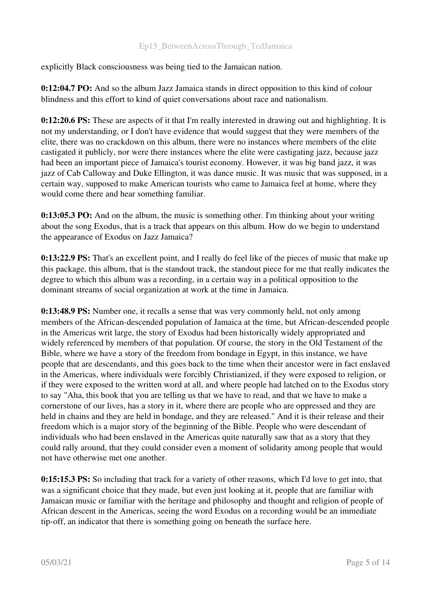explicitly Black consciousness was being tied to the Jamaican nation.

0:12:04.7 PO: And so the album Jazz Jamaica stands in direct opposition to this kind of colour blindness and this effort to kind of quiet conversations about race and nationalism.

0:12:20.6 PS: These are aspects of it that I'm really interested in drawing out and highlighting. It is not my understanding, or I don't have evidence that would suggest that they were members of the elite, there was no crackdown on this album, there were no instances where members of the elite castigated it publicly, nor were there instances where the elite were castigating jazz, because jazz had been an important piece of Jamaica's tourist economy. However, it was big band jazz, it was jazz of Cab Calloway and Duke Ellington, it was dance music. It was music that was supposed, in a certain way, supposed to make American tourists who came to Jamaica feel at home, where they would come there and hear something familiar.

0:13:05.3 PO: And on the album, the music is something other. I'm thinking about your writing about the song Exodus, that is a track that appears on this album. How do we begin to understand the appearance of Exodus on Jazz Jamaica?

0:13:22.9 PS: That's an excellent point, and I really do feel like of the pieces of music that make up this package, this album, that is the standout track, the standout piece for me that really indicates the degree to which this album was a recording, in a certain way in a political opposition to the dominant streams of social organization at work at the time in Jamaica.

0:13:48.9 PS: Number one, it recalls a sense that was very commonly held, not only among members of the African-descended population of Jamaica at the time, but African-descended people in the Americas writ large, the story of Exodus had been historically widely appropriated and widely referenced by members of that population. Of course, the story in the Old Testament of the Bible, where we have a story of the freedom from bondage in Egypt, in this instance, we have people that are descendants, and this goes back to the time when their ancestor were in fact enslaved in the Americas, where individuals were forcibly Christianized, if they were exposed to religion, or if they were exposed to the written word at all, and where people had latched on to the Exodus story to say "Aha, this book that you are telling us that we have to read, and that we have to make a cornerstone of our lives, has a story in it, where there are people who are oppressed and they are held in chains and they are held in bondage, and they are released." And it is their release and their freedom which is a major story of the beginning of the Bible. People who were descendant of individuals who had been enslaved in the Americas quite naturally saw that as a story that they could rally around, that they could consider even a moment of solidarity among people that would not have otherwise met one another.

0:15:15.3 PS: So including that track for a variety of other reasons, which I'd love to get into, that was a significant choice that they made, but even just looking at it, people that are familiar with Jamaican music or familiar with the heritage and philosophy and thought and religion of people of African descent in the Americas, seeing the word Exodus on a recording would be an immediate tip-off, an indicator that there is something going on beneath the surface here.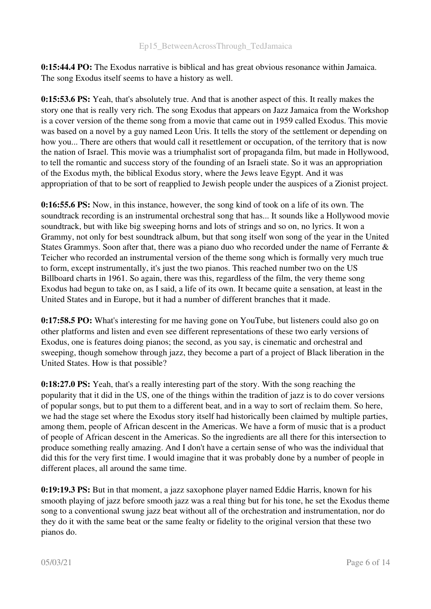0:15:44.4 PO: The Exodus narrative is biblical and has great obvious resonance within Jamaica. The song Exodus itself seems to have a history as well.

0:15:53.6 PS: Yeah, that's absolutely true. And that is another aspect of this. It really makes the story one that is really very rich. The song Exodus that appears on Jazz Jamaica from the Workshop is a cover version of the theme song from a movie that came out in 1959 called Exodus. This movie was based on a novel by a guy named Leon Uris. It tells the story of the settlement or depending on how you... There are others that would call it resettlement or occupation, of the territory that is now the nation of Israel. This movie was a triumphalist sort of propaganda film, but made in Hollywood, to tell the romantic and success story of the founding of an Israeli state. So it was an appropriation of the Exodus myth, the biblical Exodus story, where the Jews leave Egypt. And it was appropriation of that to be sort of reapplied to Jewish people under the auspices of a Zionist project.

0:16:55.6 PS: Now, in this instance, however, the song kind of took on a life of its own. The soundtrack recording is an instrumental orchestral song that has... It sounds like a Hollywood movie soundtrack, but with like big sweeping horns and lots of strings and so on, no lyrics. It won a Grammy, not only for best soundtrack album, but that song itself won song of the year in the United States Grammys. Soon after that, there was a piano duo who recorded under the name of Ferrante & Teicher who recorded an instrumental version of the theme song which is formally very much true to form, except instrumentally, it's just the two pianos. This reached number two on the US Billboard charts in 1961. So again, there was this, regardless of the film, the very theme song Exodus had begun to take on, as I said, a life of its own. It became quite a sensation, at least in the United States and in Europe, but it had a number of different branches that it made.

0:17:58.5 PO: What's interesting for me having gone on YouTube, but listeners could also go on other platforms and listen and even see different representations of these two early versions of Exodus, one is features doing pianos; the second, as you say, is cinematic and orchestral and sweeping, though somehow through jazz, they become a part of a project of Black liberation in the United States. How is that possible?

0:18:27.0 PS: Yeah, that's a really interesting part of the story. With the song reaching the popularity that it did in the US, one of the things within the tradition of jazz is to do cover versions of popular songs, but to put them to a different beat, and in a way to sort of reclaim them. So here, we had the stage set where the Exodus story itself had historically been claimed by multiple parties, among them, people of African descent in the Americas. We have a form of music that is a product of people of African descent in the Americas. So the ingredients are all there for this intersection to produce something really amazing. And I don't have a certain sense of who was the individual that did this for the very first time. I would imagine that it was probably done by a number of people in different places, all around the same time.

0:19:19.3 PS: But in that moment, a jazz saxophone player named Eddie Harris, known for his smooth playing of jazz before smooth jazz was a real thing but for his tone, he set the Exodus theme song to a conventional swung jazz beat without all of the orchestration and instrumentation, nor do they do it with the same beat or the same fealty or fidelity to the original version that these two pianos do.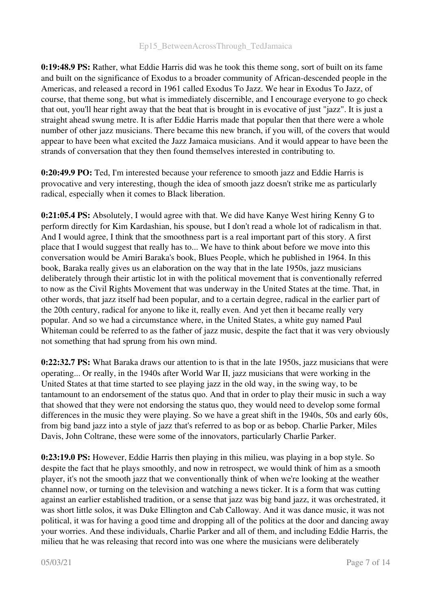0:19:48.9 PS: Rather, what Eddie Harris did was he took this theme song, sort of built on its fame and built on the significance of Exodus to a broader community of African-descended people in the Americas, and released a record in 1961 called Exodus To Jazz. We hear in Exodus To Jazz, of course, that theme song, but what is immediately discernible, and I encourage everyone to go check that out, you'll hear right away that the beat that is brought in is evocative of just "jazz". It is just a straight ahead swung metre. It is after Eddie Harris made that popular then that there were a whole number of other jazz musicians. There became this new branch, if you will, of the covers that would appear to have been what excited the Jazz Jamaica musicians. And it would appear to have been the strands of conversation that they then found themselves interested in contributing to.

0:20:49.9 PO: Ted, I'm interested because your reference to smooth jazz and Eddie Harris is provocative and very interesting, though the idea of smooth jazz doesn't strike me as particularly radical, especially when it comes to Black liberation.

0:21:05.4 PS: Absolutely, I would agree with that. We did have Kanye West hiring Kenny G to perform directly for Kim Kardashian, his spouse, but I don't read a whole lot of radicalism in that. And I would agree, I think that the smoothness part is a real important part of this story. A first place that I would suggest that really has to... We have to think about before we move into this conversation would be Amiri Baraka's book, Blues People, which he published in 1964. In this book, Baraka really gives us an elaboration on the way that in the late 1950s, jazz musicians deliberately through their artistic lot in with the political movement that is conventionally referred to now as the Civil Rights Movement that was underway in the United States at the time. That, in other words, that jazz itself had been popular, and to a certain degree, radical in the earlier part of the 20th century, radical for anyone to like it, really even. And yet then it became really very popular. And so we had a circumstance where, in the United States, a white guy named Paul Whiteman could be referred to as the father of jazz music, despite the fact that it was very obviously not something that had sprung from his own mind.

0:22:32.7 PS: What Baraka draws our attention to is that in the late 1950s, jazz musicians that were operating... Or really, in the 1940s after World War II, jazz musicians that were working in the United States at that time started to see playing jazz in the old way, in the swing way, to be tantamount to an endorsement of the status quo. And that in order to play their music in such a way that showed that they were not endorsing the status quo, they would need to develop some formal differences in the music they were playing. So we have a great shift in the 1940s, 50s and early 60s, from big band jazz into a style of jazz that's referred to as bop or as bebop. Charlie Parker, Miles Davis, John Coltrane, these were some of the innovators, particularly Charlie Parker.

0:23:19.0 PS: However, Eddie Harris then playing in this milieu, was playing in a bop style. So despite the fact that he plays smoothly, and now in retrospect, we would think of him as a smooth player, it's not the smooth jazz that we conventionally think of when we're looking at the weather channel now, or turning on the television and watching a news ticker. It is a form that was cutting against an earlier established tradition, or a sense that jazz was big band jazz, it was orchestrated, it was short little solos, it was Duke Ellington and Cab Calloway. And it was dance music, it was not political, it was for having a good time and dropping all of the politics at the door and dancing away your worries. And these individuals, Charlie Parker and all of them, and including Eddie Harris, the milieu that he was releasing that record into was one where the musicians were deliberately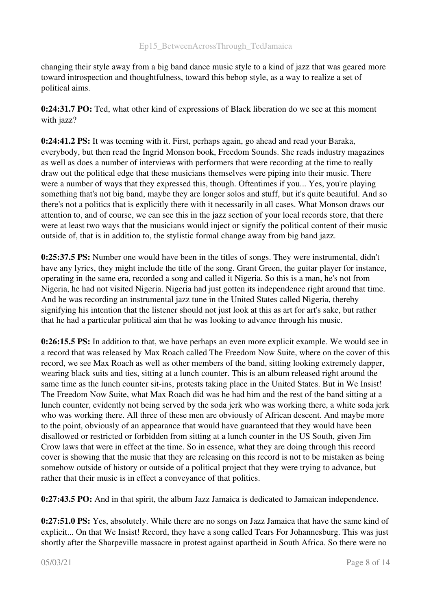changing their style away from a big band dance music style to a kind of jazz that was geared more toward introspection and thoughtfulness, toward this bebop style, as a way to realize a set of political aims.

0:24:31.7 PO: Ted, what other kind of expressions of Black liberation do we see at this moment with jazz?

0:24:41.2 PS: It was teeming with it. First, perhaps again, go ahead and read your Baraka, everybody, but then read the Ingrid Monson book, Freedom Sounds. She reads industry magazines as well as does a number of interviews with performers that were recording at the time to really draw out the political edge that these musicians themselves were piping into their music. There were a number of ways that they expressed this, though. Oftentimes if you... Yes, you're playing something that's not big band, maybe they are longer solos and stuff, but it's quite beautiful. And so there's not a politics that is explicitly there with it necessarily in all cases. What Monson draws our attention to, and of course, we can see this in the jazz section of your local records store, that there were at least two ways that the musicians would inject or signify the political content of their music outside of, that is in addition to, the stylistic formal change away from big band jazz.

0:25:37.5 PS: Number one would have been in the titles of songs. They were instrumental, didn't have any lyrics, they might include the title of the song. Grant Green, the guitar player for instance, operating in the same era, recorded a song and called it Nigeria. So this is a man, he's not from Nigeria, he had not visited Nigeria. Nigeria had just gotten its independence right around that time. And he was recording an instrumental jazz tune in the United States called Nigeria, thereby signifying his intention that the listener should not just look at this as art for art's sake, but rather that he had a particular political aim that he was looking to advance through his music.

0:26:15.5 PS: In addition to that, we have perhaps an even more explicit example. We would see in a record that was released by Max Roach called The Freedom Now Suite, where on the cover of this record, we see Max Roach as well as other members of the band, sitting looking extremely dapper, wearing black suits and ties, sitting at a lunch counter. This is an album released right around the same time as the lunch counter sit-ins, protests taking place in the United States. But in We Insist! The Freedom Now Suite, what Max Roach did was he had him and the rest of the band sitting at a lunch counter, evidently not being served by the soda jerk who was working there, a white soda jerk who was working there. All three of these men are obviously of African descent. And maybe more to the point, obviously of an appearance that would have guaranteed that they would have been disallowed or restricted or forbidden from sitting at a lunch counter in the US South, given Jim Crow laws that were in effect at the time. So in essence, what they are doing through this record cover is showing that the music that they are releasing on this record is not to be mistaken as being somehow outside of history or outside of a political project that they were trying to advance, but rather that their music is in effect a conveyance of that politics.

0:27:43.5 PO: And in that spirit, the album Jazz Jamaica is dedicated to Jamaican independence.

0:27:51.0 PS: Yes, absolutely. While there are no songs on Jazz Jamaica that have the same kind of explicit... On that We Insist! Record, they have a song called Tears For Johannesburg. This was just shortly after the Sharpeville massacre in protest against apartheid in South Africa. So there were no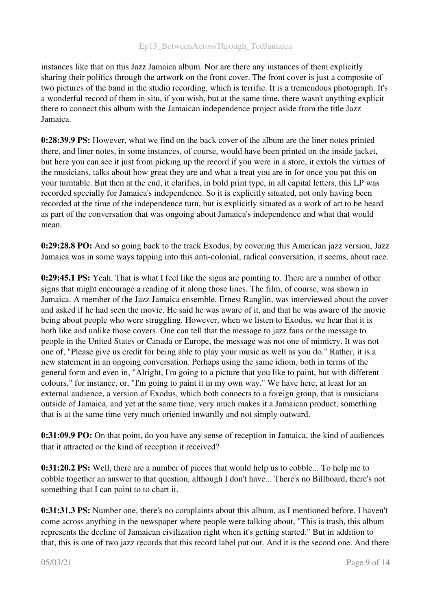instances like that on this Jazz Jamaica album. Nor are there any instances of them explicitly sharing their politics through the artwork on the front cover. The front cover is just a composite of two pictures of the band in the studio recording, which is terrific. It is a tremendous photograph. It's a wonderful record of them in situ, if you wish, but at the same time, there wasn't anything explicit there to connect this album with the Jamaican independence project aside from the title Jazz Jamaica.

0:28:39.9 PS: However, what we find on the back cover of the album are the liner notes printed there, and liner notes, in some instances, of course, would have been printed on the inside jacket, but here you can see it just from picking up the record if you were in a store, it extols the virtues of the musicians, talks about how great they are and what a treat you are in for once you put this on your turntable. But then at the end, it clarifies, in bold print type, in all capital letters, this LP was recorded specially for Jamaica's independence. So it is explicitly situated, not only having been recorded at the time of the independence turn, but is explicitly situated as a work of art to be heard as part of the conversation that was ongoing about Jamaica's independence and what that would mean.

0:29:28.8 PO: And so going back to the track Exodus, by covering this American jazz version, Jazz Jamaica was in some ways tapping into this anti-colonial, radical conversation, it seems, about race.

0:29:45.1 PS: Yeah. That is what I feel like the signs are pointing to. There are a number of other signs that might encourage a reading of it along those lines. The film, of course, was shown in Jamaica. A member of the Jazz Jamaica ensemble, Ernest Ranglin, was interviewed about the cover and asked if he had seen the movie. He said he was aware of it, and that he was aware of the movie being about people who were struggling. However, when we listen to Exodus, we hear that it is both like and unlike those covers. One can tell that the message to jazz fans or the message to people in the United States or Canada or Europe, the message was not one of mimicry. It was not one of, "Please give us credit for being able to play your music as well as you do." Rather, it is a new statement in an ongoing conversation. Perhaps using the same idiom, both in terms of the general form and even in, "Alright, I'm going to a picture that you like to paint, but with different colours," for instance, or, "I'm going to paint it in my own way." We have here, at least for an external audience, a version of Exodus, which both connects to a foreign group, that is musicians outside of Jamaica, and yet at the same time, very much makes it a Jamaican product, something that is at the same time very much oriented inwardly and not simply outward.

0:31:09.9 PO: On that point, do you have any sense of reception in Jamaica, the kind of audiences that it attracted or the kind of reception it received?

0:31:20.2 PS: Well, there are a number of pieces that would help us to cobble... To help me to cobble together an answer to that question, although I don't have... There's no Billboard, there's not something that I can point to to chart it.

0:31:31.3 PS: Number one, there's no complaints about this album, as I mentioned before. I haven't come across anything in the newspaper where people were talking about, "This is trash, this album represents the decline of Jamaican civilization right when it's getting started." But in addition to that, this is one of two jazz records that this record label put out. And it is the second one. And there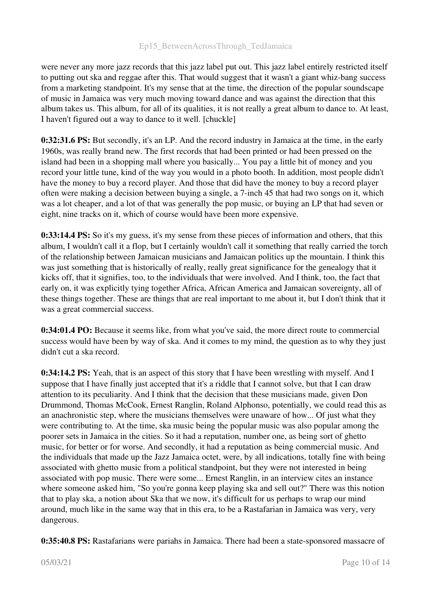were never any more jazz records that this jazz label put out. This jazz label entirely restricted itself to putting out ska and reggae after this. That would suggest that it wasn't a giant whiz-bang success from a marketing standpoint. It's my sense that at the time, the direction of the popular soundscape of music in Jamaica was very much moving toward dance and was against the direction that this album takes us. This album, for all of its qualities, it is not really a great album to dance to. At least, I haven't figured out a way to dance to it well. [chuckle]

0:32:31.6 PS: But secondly, it's an LP. And the record industry in Jamaica at the time, in the early 1960s, was really brand new. The first records that had been printed or had been pressed on the island had been in a shopping mall where you basically... You pay a little bit of money and you record your little tune, kind of the way you would in a photo booth. In addition, most people didn't have the money to buy a record player. And those that did have the money to buy a record player often were making a decision between buying a single, a 7-inch 45 that had two songs on it, which was a lot cheaper, and a lot of that was generally the pop music, or buying an LP that had seven or eight, nine tracks on it, which of course would have been more expensive.

0:33:14.4 PS: So it's my guess, it's my sense from these pieces of information and others, that this album, I wouldn't call it a flop, but I certainly wouldn't call it something that really carried the torch of the relationship between Jamaican musicians and Jamaican politics up the mountain. I think this was just something that is historically of really, really great significance for the genealogy that it kicks off, that it signifies, too, to the individuals that were involved. And I think, too, the fact that early on, it was explicitly tying together Africa, African America and Jamaican sovereignty, all of these things together. These are things that are real important to me about it, but I don't think that it was a great commercial success.

0:34:01.4 PO: Because it seems like, from what you've said, the more direct route to commercial success would have been by way of ska. And it comes to my mind, the question as to why they just didn't cut a ska record.

0:34:14.2 PS: Yeah, that is an aspect of this story that I have been wrestling with myself. And I suppose that I have finally just accepted that it's a riddle that I cannot solve, but that I can draw attention to its peculiarity. And I think that the decision that these musicians made, given Don Drummond, Thomas McCook, Ernest Ranglin, Roland Alphonso, potentially, we could read this as an anachronistic step, where the musicians themselves were unaware of how... Of just what they were contributing to. At the time, ska music being the popular music was also popular among the poorer sets in Jamaica in the cities. So it had a reputation, number one, as being sort of ghetto music, for better or for worse. And secondly, it had a reputation as being commercial music. And the individuals that made up the Jazz Jamaica octet, were, by all indications, totally fine with being associated with ghetto music from a political standpoint, but they were not interested in being associated with pop music. There were some... Ernest Ranglin, in an interview cites an instance where someone asked him, "So you're gonna keep playing ska and sell out?" There was this notion that to play ska, a notion about Ska that we now, it's difficult for us perhaps to wrap our mind around, much like in the same way that in this era, to be a Rastafarian in Jamaica was very, very dangerous.

0:35:40.8 PS: Rastafarians were pariahs in Jamaica. There had been a state-sponsored massacre of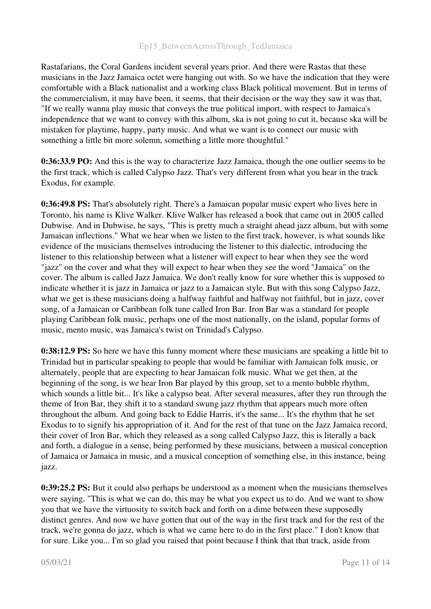Rastafarians, the Coral Gardens incident several years prior. And there were Rastas that these musicians in the Jazz Jamaica octet were hanging out with. So we have the indication that they were comfortable with a Black nationalist and a working class Black political movement. But in terms of the commercialism, it may have been, it seems, that their decision or the way they saw it was that, "If we really wanna play music that conveys the true political import, with respect to Jamaica's independence that we want to convey with this album, ska is not going to cut it, because ska will be mistaken for playtime, happy, party music. And what we want is to connect our music with something a little bit more solemn, something a little more thoughtful."

0:36:33.9 PO: And this is the way to characterize Jazz Jamaica, though the one outlier seems to be the first track, which is called Calypso Jazz. That's very different from what you hear in the track Exodus, for example.

0:36:49.8 PS: That's absolutely right. There's a Jamaican popular music expert who lives here in Toronto, his name is Klive Walker. Klive Walker has released a book that came out in 2005 called Dubwise. And in Dubwise, he says, "This is pretty much a straight ahead jazz album, but with some Jamaican inflections." What we hear when we listen to the first track, however, is what sounds like evidence of the musicians themselves introducing the listener to this dialectic, introducing the listener to this relationship between what a listener will expect to hear when they see the word "jazz" on the cover and what they will expect to hear when they see the word "Jamaica" on the cover. The album is called Jazz Jamaica. We don't really know for sure whether this is supposed to indicate whether it is jazz in Jamaica or jazz to a Jamaican style. But with this song Calypso Jazz, what we get is these musicians doing a halfway faithful and halfway not faithful, but in jazz, cover song, of a Jamaican or Caribbean folk tune called Iron Bar. Iron Bar was a standard for people playing Caribbean folk music, perhaps one of the most nationally, on the island, popular forms of music, mento music, was Jamaica's twist on Trinidad's Calypso.

0:38:12.9 PS: So here we have this funny moment where these musicians are speaking a little bit to Trinidad but in particular speaking to people that would be familiar with Jamaican folk music, or alternately, people that are expecting to hear Jamaican folk music. What we get then, at the beginning of the song, is we hear Iron Bar played by this group, set to a mento bubble rhythm, which sounds a little bit... It's like a calypso beat. After several measures, after they run through the theme of Iron Bar, they shift it to a standard swung jazz rhythm that appears much more often throughout the album. And going back to Eddie Harris, it's the same... It's the rhythm that he set Exodus to to signify his appropriation of it. And for the rest of that tune on the Jazz Jamaica record, their cover of Iron Bar, which they released as a song called Calypso Jazz, this is literally a back and forth, a dialogue in a sense, being performed by these musicians, between a musical conception of Jamaica or Jamaica in music, and a musical conception of something else, in this instance, being jazz.

0:39:25.2 PS: But it could also perhaps be understood as a moment when the musicians themselves were saying, "This is what we can do, this may be what you expect us to do. And we want to show you that we have the virtuosity to switch back and forth on a dime between these supposedly distinct genres. And now we have gotten that out of the way in the first track and for the rest of the track, we're gonna do jazz, which is what we came here to do in the first place." I don't know that for sure. Like you... I'm so glad you raised that point because I think that that track, aside from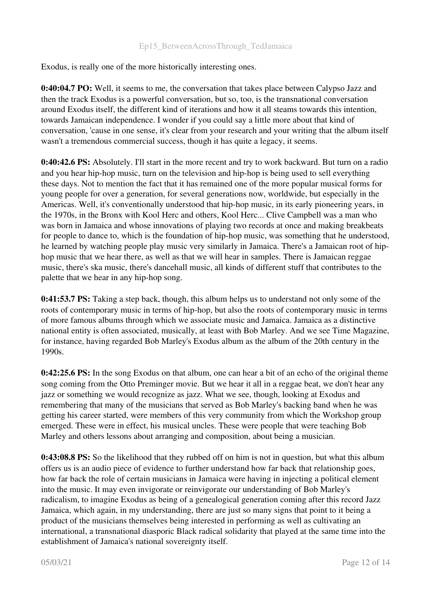Exodus, is really one of the more historically interesting ones.

0:40:04.7 PO: Well, it seems to me, the conversation that takes place between Calypso Jazz and then the track Exodus is a powerful conversation, but so, too, is the transnational conversation around Exodus itself, the different kind of iterations and how it all steams towards this intention, towards Jamaican independence. I wonder if you could say a little more about that kind of conversation, 'cause in one sense, it's clear from your research and your writing that the album itself wasn't a tremendous commercial success, though it has quite a legacy, it seems.

0:40:42.6 PS: Absolutely. I'll start in the more recent and try to work backward. But turn on a radio and you hear hip-hop music, turn on the television and hip-hop is being used to sell everything these days. Not to mention the fact that it has remained one of the more popular musical forms for young people for over a generation, for several generations now, worldwide, but especially in the Americas. Well, it's conventionally understood that hip-hop music, in its early pioneering years, in the 1970s, in the Bronx with Kool Herc and others, Kool Herc... Clive Campbell was a man who was born in Jamaica and whose innovations of playing two records at once and making breakbeats for people to dance to, which is the foundation of hip-hop music, was something that he understood, he learned by watching people play music very similarly in Jamaica. There's a Jamaican root of hiphop music that we hear there, as well as that we will hear in samples. There is Jamaican reggae music, there's ska music, there's dancehall music, all kinds of different stuff that contributes to the palette that we hear in any hip-hop song.

0:41:53.7 PS: Taking a step back, though, this album helps us to understand not only some of the roots of contemporary music in terms of hip-hop, but also the roots of contemporary music in terms of more famous albums through which we associate music and Jamaica. Jamaica as a distinctive national entity is often associated, musically, at least with Bob Marley. And we see Time Magazine, for instance, having regarded Bob Marley's Exodus album as the album of the 20th century in the 1990s.

0:42:25.6 PS: In the song Exodus on that album, one can hear a bit of an echo of the original theme song coming from the Otto Preminger movie. But we hear it all in a reggae beat, we don't hear any jazz or something we would recognize as jazz. What we see, though, looking at Exodus and remembering that many of the musicians that served as Bob Marley's backing band when he was getting his career started, were members of this very community from which the Workshop group emerged. These were in effect, his musical uncles. These were people that were teaching Bob Marley and others lessons about arranging and composition, about being a musician.

0:43:08.8 PS: So the likelihood that they rubbed off on him is not in question, but what this album offers us is an audio piece of evidence to further understand how far back that relationship goes, how far back the role of certain musicians in Jamaica were having in injecting a political element into the music. It may even invigorate or reinvigorate our understanding of Bob Marley's radicalism, to imagine Exodus as being of a genealogical generation coming after this record Jazz Jamaica, which again, in my understanding, there are just so many signs that point to it being a product of the musicians themselves being interested in performing as well as cultivating an international, a transnational diasporic Black radical solidarity that played at the same time into the establishment of Jamaica's national sovereignty itself.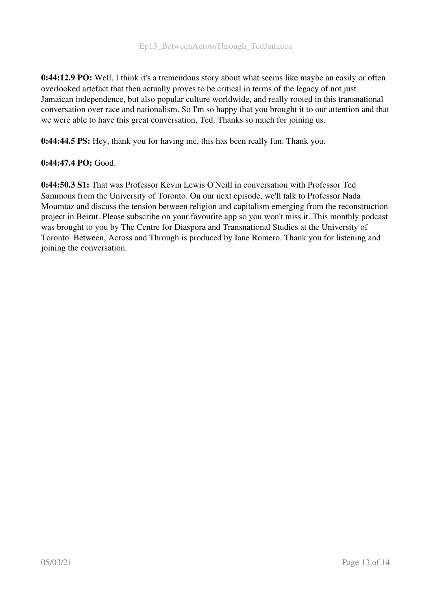0:44:12.9 PO: Well, I think it's a tremendous story about what seems like maybe an easily or often overlooked artefact that then actually proves to be critical in terms of the legacy of not just Jamaican independence, but also popular culture worldwide, and really rooted in this transnational conversation over race and nationalism. So I'm so happy that you brought it to our attention and that we were able to have this great conversation, Ted. Thanks so much for joining us.

0:44:44.5 PS: Hey, thank you for having me, this has been really fun. Thank you.

### 0:44:47.4 PO: Good.

0:44:50.3 S1: That was Professor Kevin Lewis O'Neill in conversation with Professor Ted Sammons from the University of Toronto. On our next episode, we'll talk to Professor Nada Moumtaz and discuss the tension between religion and capitalism emerging from the reconstruction project in Beirut. Please subscribe on your favourite app so you won't miss it. This monthly podcast was brought to you by The Centre for Diaspora and Transnational Studies at the University of Toronto. Between, Across and Through is produced by Iane Romero. Thank you for listening and joining the conversation.